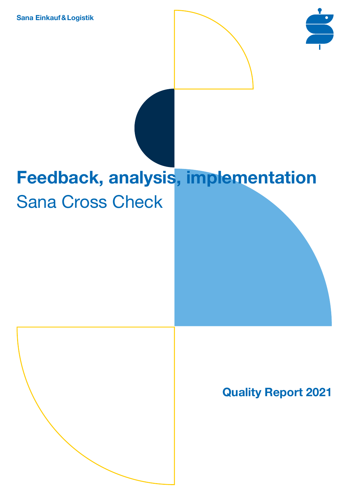**Sana Einkauf&Logistik**



# **Feedback, analysis, implementation** Sana Cross Check



**Quality Report 2021**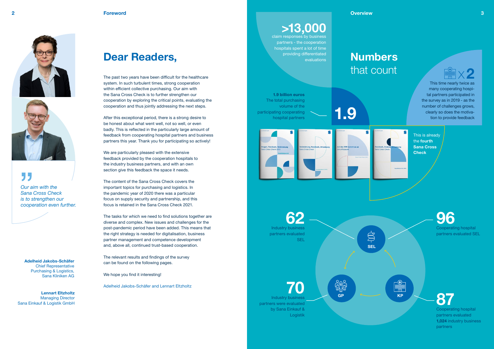



55

# **Dear Readers,**

The past two years have been difficult for the healthcare system. In such turbulent times, strong cooperation within efficient collective purchasing. Our aim with the Sana Cross Check is to further strengthen our cooperation by exploring the critical points, evaluating the cooperation and thus jointly addressing the next steps.

After this exceptional period, there is a strong desire to be honest about what went well, not so well, or even badly. This is reflected in the particularly large amount of feedback from cooperating hospital partners and business partners this year. Thank you for participating so actively!

We are particularly pleased with the extensive feedback provided by the cooperation hospitals to the industry business partners, and with an own section give this feedback the space it needs.

The content of the Sana Cross Check covers the important topics for purchasing and logistics. In the pandemic year of 2020 there was a particular focus on supply security and partnership, and this focus is retained in the Sana Cross Check 2021.

> **Industry busines** partners were evaluated by Sana Einkauf &

**the** 



**87** Cooperating hospital partners evaluated **1,024** industry business **partners** 

many cooperating hospital partners participated in the survey as in 2019 - as the number of challenges grows, clearly so does the motiva-**1.9** time to provide feedback<br>tion to provide feedback

The tasks for which we need to find solutions together are diverse and complex. New issues and challenges for the post-pandemic period have been added. This means that the right strategy is needed for digitalisation, business partner management and competence development and, above all, continued trust-based cooperation.

The relevant results and findings of the survey can be found on the following pages.

We hope you find it interesting!

Adelheid Jakobs-Schäfer and Lennart Eltzholtz

# **Numbers**  that count

**Adelheid Jakobs-Schäfer**  Chief Representative Purchasing & Logistics, Sana Kliniken AG

**Lennart Eltzholtz** Managing Director Sana Einkauf & Logistik GmbH

**SEL**

 $\sum_{i=1}^{n}$ 





# **>13,000**

claim responses by business partners - the cooperation hospitals spent a lot of time providing differentiated evaluations



This is already the **fourth Sana Cross Check**

**62**  Industry business partners evaluated SEL

**70**

Logistik

*Our aim with the Sana Cross Check is to strengthen our cooperation even further.*



**1.9 billion euros**  The total purchasing volume of the participating cooperating hospital partners



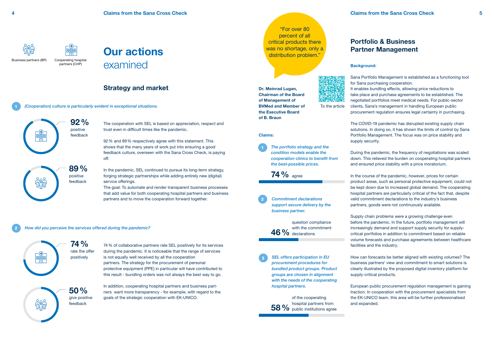The cooperation with SEL is based on appreciation, respect and trust even in difficult times like the pandemic.

92% and 89% respectively agree with this statement. This shows that the many years of work put into ensuring a good feedback culture, overseen with the Sana Cross Check, is paying off.

#### **Background:**

Sana Portfolio Management is established as a functioning tool for Sana purchasing cooperation. It enables bundling effects, allowing price reductions to take place and purchase agreements to be established. The negotiated portfolios meet medical needs. For public-sector clients, Sana's management in handling European public procurement regulation ensures legal certainty in purchasing.

The COVID-19 pandemic has disrupted existing supply chain solutions. In doing so, it has shown the limits of control by Sana Portfolio Management. The focus was on price stability and supply security.

During the pandemic, the frequency of negotiations was scaled down. This relieved the burden on cooperating hospital partners and ensured price stability with a price moratorium.

In the course of the pandemic, however, prices for certain product areas, such as personal protective equipment, could not be kept down due to increased global demand. The cooperating hospital partners are particularly critical of the fact that, despite valid commitment declarations to the industry's business partners, goods were not continuously available.

Supply chain problems were a growing challenge even before the pandemic. In the future, portfolio management will increasingly demand and support supply security for supplycritical portfolios in addition to commitment based on reliable volume forecasts and purchase agreements between healthcare facilities and the industry.

In addition, cooperating hospital partners and business partners want more transparency - for example, with regard to the goals of the strategic cooperation with EK-UNICO.

How can forecasts be better aligned with existing volumes? The business partners' view and commitment to smart solutions is clearly illustrated by the proposed digital inventory platform for supply-critical products.

**58 %** hospital partners from<br>**58 %** public institutions agre of the cooperating public institutions agree

European public procurement regulation management is gaining traction. In cooperation with the procurement specialists from the EK-UNICO team, this area will be further professionalised and expanded.

*How did you perceive the services offered during the pandemic?*

In the pandemic, SEL continued to pursue its long-term strategy, forging strategic partnerships while adding entirely new (digital) service offerings.

The goal: To automate and render transparent business processes that add value for both cooperating hospital partners and business partners and to move the cooperation forward together.





partners (CHP) Business partners (BP)

## **Strategy and market**

## **Portfolio & Business Partner Management**

To the article

**74%** rate the offer positively



**50%** give positive feedback

*(Cooperation) culture is particularly evident in exceptional situations.*

74% of collaborative partners rate SEL positively for its services during the pandemic. It is noticeable that the range of services is not equally well received by all the cooperation partners. The strategy for the procurement of personal protective equipment (PPE) in particular will have contributed to this result - bundling orders was not always the best way to go.

**74%** agree

**46%** declarations question compliance with the commitment

1

2

 $\begin{array}{c}\n-\bigoplus\phantom{\bigoplus\limits_{1}^{n}}-\end{array}$ 

3

1 *The portfolio strategy and the condition models enable the cooperation clinics to benefit from the best-possible prices.*

2 *Commitment declarations support secure delivery by the business partner.*

#### **Claims:**

*SEL offers participation in EU procurement procedures for bundled product groups. Product groups are chosen in alignment with the needs of the cooperating hospital partners.*

"For over 80 percent of all critical products there was no shortage, only a distribution problem."

**Dr. Meinrad Lugan, Chairman of the Board of Management of BVMed and Member of the Executive Board of B. Braun**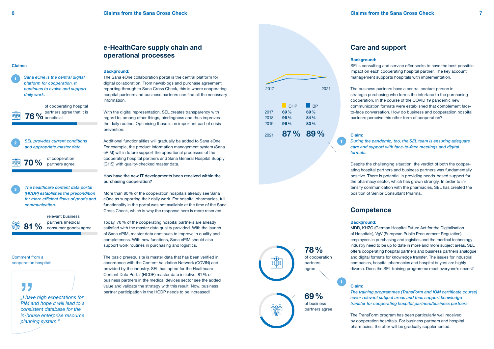**Background:** SEL's consulting and service offer seeks to have the best possible impact on each cooperating hospital partner. The key account management supports hospitals with implementation.

The business partners have a central contact person in strategic purchasing who forms the interface to the purchasing cooperation. In the course of the COVID 19 pandemic new communication formats were established that complement faceto-face conversation. How do business and cooperatiion hospital partners perceive this other form of cooperation?

#### *During the pandemic, too, the SEL team is ensuring adequate care and support with face-to-face meetings and digital*

**Claim:** *formats.*

Despite the challenging situation, the verdict of both the cooperating hospital partners and business partners was fundamentally positive. There is potential in providing needs-based support for the pharmacy sector, which has grown strongly. In order to intensify communication with the pharmacies, SEL has created the position of Senior Consultant Pharma.

With the digital representation, SEL creates transparency with regard to, among other things, bindingness and thus improves the daily routine. Optimising these is an important part of crisis prevention.

> **Background:** MDR, KHZG (German Hospital Future Act for the Digitalisation of Hospitals), VgV (European Public Procurement Regulation) employees in purchasing and logistics and the medical technology industry need to be up to date in more and more subject areas. SEL offers cooperating hospital partners and business partners analogue and digital formats for knowledge transfer. The issues for industrial companies, hospital pharmacies and hospital buyers are highly diverse. Does the SEL training programme meet everyone's needs?

> **Claim:** *The training programmes (TransForm and IOM certificate course) cover relevant subject areas and thus support knowledge transfer for cooperating hospital partners/business partners.*

The TransForm program has been particularly well received by cooperation hospitals. For business partners and hospital pharmacies, the offer will be gradually supplemented.

#### **Background:**

The Sana eOne collaboration portal is the central platform for digital collaboration. From newsblogs and purchase agreement reporting through to Sana Cross Check, this is where cooperating hospital partners and business partners can find all the necessary information.

Additional functionalities will gradually be added to Sana eOne. For example, the product information management system (Sana ePIM) will in future support the operational processes of the cooperating hospital partners and Sana General Hospital Supply (GHS) with quality-checked master data.

How have the new IT developments been received within the purchasing cooperation?

More than 80% of the cooperation hospitals already see Sana eOne as supporting their daily work. For hospital pharmacies, full functionality in the portal was not available at the time of the Sana Cross Check, which is why the response here is more reserved.

Today, 70% of the cooperating hospital partners are already satisfied with the master data quality provided. With the launch of Sana ePIM, master data continues to improve in quality and completeness. With new functions, Sana ePIM should also support work routines in purchasing and logistics.

The basic prerequisite is master data that has been verified in accordance with the Content Validation Network (COVIN) and provided by the industry. SEL has opted for the Healthcare Content Data Portal (HCDP) master data initiative. 81% of business partners in the medical devices sector see the added value and validate the strategy with this result. Now, business partner participation in the HCDP needs to be increased!

## **e-HealthCare supply chain and operational processes**

#### **Care and support**

## **Competence**



3

*Sana eOne is the central digital platform for cooperation. It continues to evolve and support daily work.*

> *SEL provides current conditions and appropriate master data.*

**76%** beneficial partners agree that it is

**70%** of cooperation partners agree

**81%** consumer goods) agree relevant business partners (medical

*The healthcare content data portal (HCDP) establishes the precondition for more efficient flows of goods and communication.*



of cooperating hospital

#### **Claims:**





*"I have high expectations for PIM and hope it will lead to a consistent database for the in-house enterprise resource planning system."*

Comment from a cooperation hospital: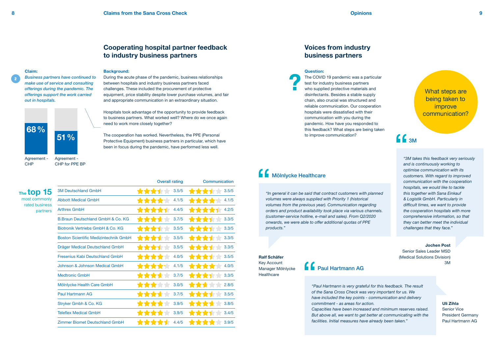|                                              | <b>Overall rating</b>     | Communication              |
|----------------------------------------------|---------------------------|----------------------------|
| <b>3M Deutschland GmbH</b>                   | 3.5/5<br>****             | 3.5/5<br>****              |
| <b>Abbott Medical GmbH</b>                   | 4.1/5<br>*****            | 4.1/5<br>****              |
| <b>Arthrex GmbH</b>                          | 4.4/5<br><b>****</b>      | 4.2/5<br><b>TANK</b>       |
| B. Braun Deutschland GmbH & Co. KG           | 3.7/5<br>*****            | 3.3/5<br>****              |
| Biotronik Vertriebs GmbH & Co. KG            | ****<br>3.5/5             | 3.3/5<br>****              |
| <b>Boston Scientific Medizintechnik GmbH</b> | *****<br>3.5/5            | 3.3/5<br><b>TANTI</b><br>▼ |
| Dräger Medical Deutschland GmbH              | 3.5/5<br>*****            | 3.3/5<br>****              |
| <b>Fresenius Kabi Deutschland GmbH</b>       | *****<br>4.0/5            | 3.5/5<br>****              |
| Johnson & Johnson Medical GmbH               | 4.1/5<br>****             | 4.0/5<br><b>TANK</b>       |
| <b>Medtronic GmbH</b>                        | *****<br>3.7/5            | 3.3/5<br>*****             |
| Mölnlycke Health Care GmbH                   | ****<br>3.0/5             | 2.8/5<br>****              |
| Paul Hartmann AG                             | 3.7/5<br>*****            | 3.5/5<br>****              |
| Stryker Gmbh & Co. KG                        | 3.9/5<br><b>*****</b>     | 3.8/5<br><b>TTTT</b>       |
| <b>Teleflex Medical GmbH</b>                 | 3.9/5<br><b>TANA AREA</b> | 3.4/5<br><b>TYPE THE</b>   |
| <b>Zimmer Biomet Deutschland GmbH</b>        | 4.4/5                     | 3.9/5                      |

*"Paul Hartmann is very grateful for this feedback. The result of the Sana Cross Check was very important for us. We have included the key points - communication and delivery commitment - as areas for action. Capacities have been increased and minimum reserves raised. But above all, we want to get better at communicating with the facilities. Initial measures have already been taken."*

*"In general it can be said that contract customers with planned volumes were always supplied with Priority 1 (historical volumes from the previous year). Communication regarding orders and product availability took place via various channels. (customer-service hotline, e-mail and sales). From Q2/2020 onwards, we were able to offer additional quotas of PPE products."*

**Ralf Schäfer** Key Account Manager Mölnlycke **Healthcare** 

*"3M takes this feedback very seriously and is continuously working to optimise communication with its customers. With regard to improved communication with the cooperation hospitals, we would like to tackle this together with Sana Einkauf & Logistik GmbH. Particularly in difficult times, we want to provide the cooperation hospitals with more comprehensive information, so that they can better meet the individual challenges that they face."*

Agreement - **CHP** 

#### **Background:**

During the acute phase of the pandemic, business relationships between hospitals and industry business partners faced challenges. These included the procurement of protective equipment, price stability despite lower purchase volumes, and fair and appropriate communication in an extraordinary situation.

Hospitals took advantage of the opportunity to provide feedback to business partners. What worked well? Where do we once again need to work more closely together?

The cooperation has worked. Nevertheless, the PPE (Personal Protective Equipment) business partners in particular, which have been in focus during the pandemic, have performed less well.

> **Jochen Post** Senior Sales Leader MSD (Medical Solutions Division) 3M

> > **Uli Zihla**  Senior Vice President Germany Paul Hartmann AG

**The top 15**

most commonly rated business partners

## **Cooperating hospital partner feedback to industry business partners**

## **Voices from industry business partners**

**Claim:**

*Business partners have continued to make use of service and consulting offerings during the pandemic. The offerings support the work carried* 

*out in hospitals.*

Paul Hartmann AG

**Question:**

The COVID 19 pandemic was a particular test for industry business partners who supplied protective materials and disinfectants. Besides a stable supply chain, also crucial was structured and reliable communication. Our cooperation hospitals were dissatisfied with their communication with you during the pandemic. How have you responded to this feedback? What steps are being taken to improve communication?

## $\blacksquare$ Mölnlycke Healthcare

What steps are being taken to improve communication?

# $C<sub>3M</sub>$

2

Agreement - CHP for PPE BP

**68%**

**51%**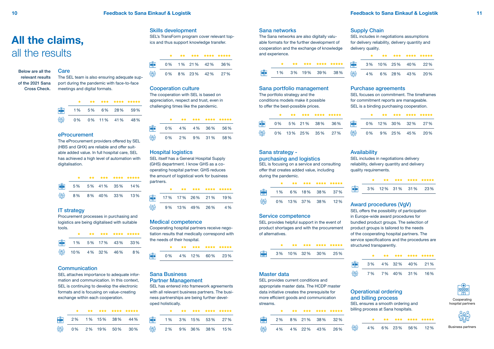#### Below are all the relevant results of the 2021 Sana Cross Check.

#### **Care**

|                                                  | – ≐ | ** * |        |     | 大大大 大大大大 大大大大大 |
|--------------------------------------------------|-----|------|--------|-----|----------------|
| $\frac{1}{\frac{1}{\frac{1}{\frac{1}{\cdots}}}}$ | 1 % | 5%   | 6%     | 28% | 59%            |
| ase<br>Inte                                      | 0%  |      | 0% 11% | 41% | 48%            |

|              |  |                   |               | 大 大大 大大大 大大大大 大大大大大 |
|--------------|--|-------------------|---------------|---------------------|
| $\mathbb{R}$ |  |                   | 0% 1% 21% 42% | 36 %                |
|              |  | 0\% 8\% 23\% 42\% |               | 27 %                |

|   |                    |  | 大 大大 大大大 大大大大 大大大大大 |
|---|--------------------|--|---------------------|
|   |                    |  | 0% 5% 21% 38% 36%   |
| 讄 | 0% 13% 25% 35% 27% |  |                     |

| ***** |              |  |  | 大 大大 大大大 大大大大 大大大大大 |
|-------|--------------|--|--|---------------------|
| 36%   | <b>FRAGE</b> |  |  | 0% 12% 30% 32% 27%  |
| 27%   | 儡            |  |  | 0% 9% 25% 45% 20%   |

### **Availability**

|  |  | 大 大大 大大大 大大大大 大大大大大    |
|--|--|------------------------|
|  |  | 3% 10% 25% 40% 22%     |
|  |  | 4 % 6 % 28 % 43 % 20 % |

![](_page_5_Figure_32.jpeg)

![](_page_5_Figure_38.jpeg)

|  |  | 文 文文 文文文 文文文文 文文文文文                |
|--|--|------------------------------------|
|  |  | $\frac{1}{100}$ 3% 12% 31% 31% 23% |

|   |  |  | 大 大大 大大大 大大大大 大大大大大 |
|---|--|--|---------------------|
|   |  |  |                     |
| ₩ |  |  | 4% 4% 22% 43% 26%   |

|  |  | 一家 一、 女女 —— 女女女 —— 女女女女 —— 女女女女女 |
|--|--|----------------------------------|
|  |  | 4% 6% 23% 56% 12%                |

![](_page_5_Picture_67.jpeg)

|  |                | 大大 大大大 大大大大 大大大大大      |
|--|----------------|------------------------|
|  |                | 3 % 4 % 32 % 40 % 21 % |
|  | 7 %7 %40 %31 % | 16%                    |

SEL focuses on commitment. The timeframes ment reports are manageable. ding purchasing cooperation.

![](_page_5_Figure_41.jpeg)

|     |       |          |     | 大大 大大大 大大大大 大大大大大 |
|-----|-------|----------|-----|-------------------|
| ■ ■ | $1\%$ | 5% 17%   | 43% | $33\%$            |
| Ħ   | 10 %  | 4 % 32 % | 46% | 8%                |

|                                                                                                                                                                                                                                                                                                                                                                                                                                                                | ** |                 |     | 大大大 大大大大 大大大大大 |
|----------------------------------------------------------------------------------------------------------------------------------------------------------------------------------------------------------------------------------------------------------------------------------------------------------------------------------------------------------------------------------------------------------------------------------------------------------------|----|-----------------|-----|----------------|
| $\begin{array}{c}\n\begin{array}{c}\n\text{H} \\ \text{H} \\ \text{H} \\ \text{H} \\ \text{H} \\ \text{H} \\ \text{H} \\ \text{H} \\ \text{H} \\ \text{H} \\ \text{H} \\ \text{H} \\ \text{H} \\ \text{H} \\ \text{H} \\ \text{H} \\ \text{H} \\ \text{H} \\ \text{H} \\ \text{H} \\ \text{H} \\ \text{H} \\ \text{H} \\ \text{H} \\ \text{H} \\ \text{H} \\ \text{H} \\ \text{H} \\ \text{H} \\ \text{H} \\ \text{H} \\ \text{H} \\ \text{H} \\ \text{H} \\ $ |    | 17% 17% 26% 21% |     | 19%            |
|                                                                                                                                                                                                                                                                                                                                                                                                                                                                |    | 9% 13% 49%      | 26% | 4 %            |

|    |    |  | 大 大大 大大大 大大大大 大大大大大 |
|----|----|--|---------------------|
| ●● |    |  | 1% 3% 15% 53% 27%   |
| 讄  | 2% |  | 9% 36% 38% 15%      |

|          |    | 大大 人 |        |        | 大大大 大大大大 大大大大大 |
|----------|----|------|--------|--------|----------------|
| 鷗        | 5% |      | 5% 41% | $35\%$ | 14%            |
| <b>命</b> | 8% |      | 8% 40% | $33\%$ | 13%            |

|                                                             |       | $+ +$ | *** |     | **** ***** |
|-------------------------------------------------------------|-------|-------|-----|-----|------------|
| $\begin{array}{c}\n\text{EBB} \\ \text{EBB} \\ \end{array}$ | 0%    | 4%    | 4 % | 36% | 56%        |
| <u>မ္၀မ</u>                                                 | $0\%$ | 2%    | 9%  | 31% | 58%        |

|                                                                           |       | **    | *** | ****            | *****  |
|---------------------------------------------------------------------------|-------|-------|-----|-----------------|--------|
| $\begin{array}{c}\n\text{EBB} \\ \text{EBB} \\ \text{EBB} \\ \end{array}$ | 2%    | $1\%$ | 15% | 38 <sup>%</sup> | 44 %   |
| ಕ್ಷಿತ್ತ                                                                   | $0\%$ | 2%    | 19% | 50%             | $30\%$ |

![](_page_5_Figure_26.jpeg)

The SEL team is also ensuring adequate support during the pandemic with face-to-face meetings and digital formats.

#### Skills development

SEL's TransForm program cover relevant topics and thus support knowledge transfer.

#### Sana portfolio management The portfolio strategy and the conditions models make it possible to offer the best-possible prices.

| for commitn  |  |
|--------------|--|
| SEL is a bin |  |
|              |  |

# Purchase agreements

## Sana strategy -

purchasing and logistics SEL is focusing on a service and consulting offer that creates added value, including during the pandemic.

SEL includes in negotiations delivery reliability, delivery quantity and delivery quality requirements.

#### Master data

SEL provides current conditions and appropriate master data. The HCDP master data initiative creates the prerequisite for more efficient goods and communication streams.

## Operational ordering and billing process

SEL ensures a smooth ordering and billing process at Sana hospitals.

![](_page_5_Figure_59.jpeg)

#### Service competence

SEL provides helpful support in the event of product shortages and with the procurement of alternatives.

# Award procedures (VgV)

SEL offers the possibility of participation in Europe-wide award procedures for bundled product groups. The selection of product groups is tailored to the needs of the cooperating hospital partners. The service specifications and the procedures are structured transparently.

![](_page_5_Figure_56.jpeg)

#### Sana networks

The Sana networks are also digitally valuable formats for the further development of cooperation and the exchange of knowledge and experience.

#### Supply Chain

SEL includes in negotiations assumptions for delivery reliability, delivery quantity and delivery quality.

#### IT strategy

Procurement processes in purchasing and logistics are being digitalised with suitable tools.

#### Hospital logistics

SEL itself has a General Hospital Supply (GHS) department. I know GHS as a cooperating hospital partner. GHS reduces the amount of logistical work for business partners.

#### Sana Business Partner Management

SEL has entered into framework agreements with all relevant business partners. The business partnerships are being further developed holistically.

#### eProcurement

The eProcurement providers offered by SEL (HBS and GHX) are reliable and offer suitable added value. In full hospital care, SEL has achieved a high level of automation with digitalisation.

#### Cooperation culture

The cooperation with SEL is based on appreciation, respect and trust, even in challenging times like the pandemic.

#### Communication

SEL attaches importance to adequate information and communication. In this context, SEL is continuing to develop the electronic formats and is focusing on value-creating exchange within each cooperation.

#### Medical competence

Cooperating hospital partners receive negotiation results that medically correspond with the needs of their hospital.

# **All the claims,** all the results

Cooperating hospital partners

![](_page_5_Picture_69.jpeg)

Business partners